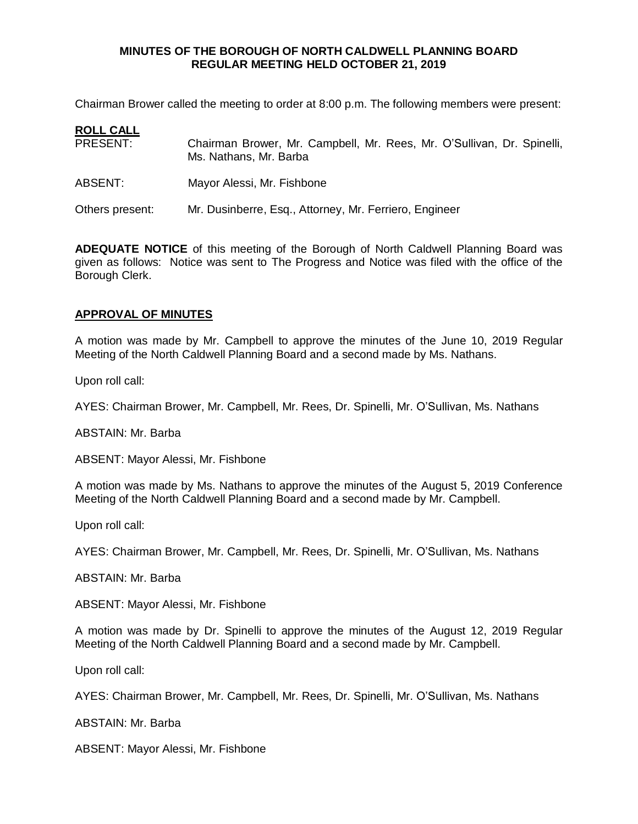## **MINUTES OF THE BOROUGH OF NORTH CALDWELL PLANNING BOARD REGULAR MEETING HELD OCTOBER 21, 2019**

Chairman Brower called the meeting to order at 8:00 p.m. The following members were present:

| <b>ROLL CALL</b> |                                                                                                  |
|------------------|--------------------------------------------------------------------------------------------------|
| PRESENT:         | Chairman Brower, Mr. Campbell, Mr. Rees, Mr. O'Sullivan, Dr. Spinelli,<br>Ms. Nathans, Mr. Barba |
| ABSENT:          | Mayor Alessi, Mr. Fishbone                                                                       |
| Others present:  | Mr. Dusinberre, Esq., Attorney, Mr. Ferriero, Engineer                                           |

**ADEQUATE NOTICE** of this meeting of the Borough of North Caldwell Planning Board was given as follows: Notice was sent to The Progress and Notice was filed with the office of the Borough Clerk.

## **APPROVAL OF MINUTES**

A motion was made by Mr. Campbell to approve the minutes of the June 10, 2019 Regular Meeting of the North Caldwell Planning Board and a second made by Ms. Nathans.

Upon roll call:

AYES: Chairman Brower, Mr. Campbell, Mr. Rees, Dr. Spinelli, Mr. O'Sullivan, Ms. Nathans

ABSTAIN: Mr. Barba

ABSENT: Mayor Alessi, Mr. Fishbone

A motion was made by Ms. Nathans to approve the minutes of the August 5, 2019 Conference Meeting of the North Caldwell Planning Board and a second made by Mr. Campbell.

Upon roll call:

AYES: Chairman Brower, Mr. Campbell, Mr. Rees, Dr. Spinelli, Mr. O'Sullivan, Ms. Nathans

ABSTAIN: Mr. Barba

ABSENT: Mayor Alessi, Mr. Fishbone

A motion was made by Dr. Spinelli to approve the minutes of the August 12, 2019 Regular Meeting of the North Caldwell Planning Board and a second made by Mr. Campbell.

Upon roll call:

AYES: Chairman Brower, Mr. Campbell, Mr. Rees, Dr. Spinelli, Mr. O'Sullivan, Ms. Nathans

ABSTAIN: Mr. Barba

ABSENT: Mayor Alessi, Mr. Fishbone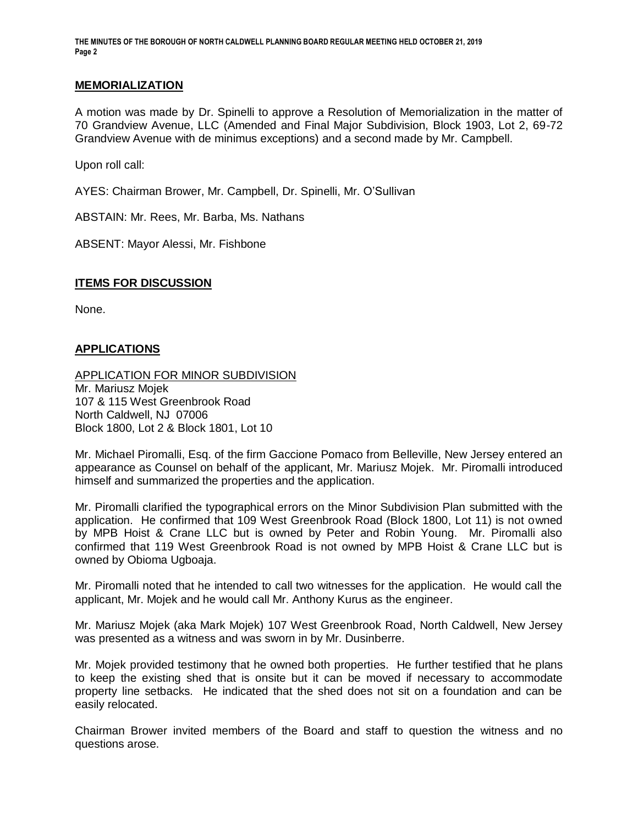**THE MINUTES OF THE BOROUGH OF NORTH CALDWELL PLANNING BOARD REGULAR MEETING HELD OCTOBER 21, 2019 Page 2**

#### **MEMORIALIZATION**

A motion was made by Dr. Spinelli to approve a Resolution of Memorialization in the matter of 70 Grandview Avenue, LLC (Amended and Final Major Subdivision, Block 1903, Lot 2, 69-72 Grandview Avenue with de minimus exceptions) and a second made by Mr. Campbell.

Upon roll call:

AYES: Chairman Brower, Mr. Campbell, Dr. Spinelli, Mr. O'Sullivan

ABSTAIN: Mr. Rees, Mr. Barba, Ms. Nathans

ABSENT: Mayor Alessi, Mr. Fishbone

### **ITEMS FOR DISCUSSION**

None.

## **APPLICATIONS**

APPLICATION FOR MINOR SUBDIVISION Mr. Mariusz Mojek 107 & 115 West Greenbrook Road North Caldwell, NJ 07006 Block 1800, Lot 2 & Block 1801, Lot 10

Mr. Michael Piromalli, Esq. of the firm Gaccione Pomaco from Belleville, New Jersey entered an appearance as Counsel on behalf of the applicant, Mr. Mariusz Mojek. Mr. Piromalli introduced himself and summarized the properties and the application.

Mr. Piromalli clarified the typographical errors on the Minor Subdivision Plan submitted with the application. He confirmed that 109 West Greenbrook Road (Block 1800, Lot 11) is not owned by MPB Hoist & Crane LLC but is owned by Peter and Robin Young. Mr. Piromalli also confirmed that 119 West Greenbrook Road is not owned by MPB Hoist & Crane LLC but is owned by Obioma Ugboaja.

Mr. Piromalli noted that he intended to call two witnesses for the application. He would call the applicant, Mr. Mojek and he would call Mr. Anthony Kurus as the engineer.

Mr. Mariusz Mojek (aka Mark Mojek) 107 West Greenbrook Road, North Caldwell, New Jersey was presented as a witness and was sworn in by Mr. Dusinberre.

Mr. Mojek provided testimony that he owned both properties. He further testified that he plans to keep the existing shed that is onsite but it can be moved if necessary to accommodate property line setbacks. He indicated that the shed does not sit on a foundation and can be easily relocated.

Chairman Brower invited members of the Board and staff to question the witness and no questions arose.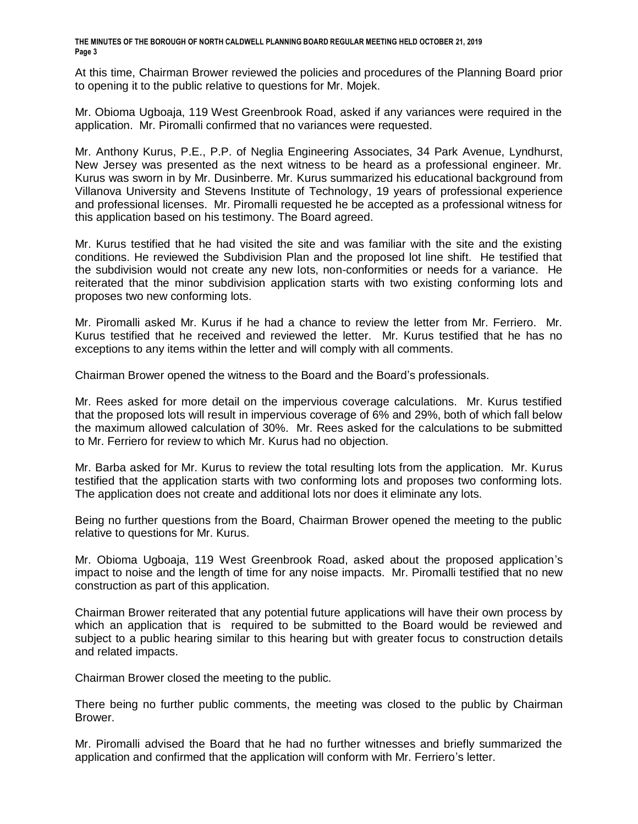**THE MINUTES OF THE BOROUGH OF NORTH CALDWELL PLANNING BOARD REGULAR MEETING HELD OCTOBER 21, 2019 Page 3**

At this time, Chairman Brower reviewed the policies and procedures of the Planning Board prior to opening it to the public relative to questions for Mr. Mojek.

Mr. Obioma Ugboaja, 119 West Greenbrook Road, asked if any variances were required in the application. Mr. Piromalli confirmed that no variances were requested.

Mr. Anthony Kurus, P.E., P.P. of Neglia Engineering Associates, 34 Park Avenue, Lyndhurst, New Jersey was presented as the next witness to be heard as a professional engineer. Mr. Kurus was sworn in by Mr. Dusinberre. Mr. Kurus summarized his educational background from Villanova University and Stevens Institute of Technology, 19 years of professional experience and professional licenses. Mr. Piromalli requested he be accepted as a professional witness for this application based on his testimony. The Board agreed.

Mr. Kurus testified that he had visited the site and was familiar with the site and the existing conditions. He reviewed the Subdivision Plan and the proposed lot line shift. He testified that the subdivision would not create any new lots, non-conformities or needs for a variance. He reiterated that the minor subdivision application starts with two existing conforming lots and proposes two new conforming lots.

Mr. Piromalli asked Mr. Kurus if he had a chance to review the letter from Mr. Ferriero. Mr. Kurus testified that he received and reviewed the letter. Mr. Kurus testified that he has no exceptions to any items within the letter and will comply with all comments.

Chairman Brower opened the witness to the Board and the Board's professionals.

Mr. Rees asked for more detail on the impervious coverage calculations. Mr. Kurus testified that the proposed lots will result in impervious coverage of 6% and 29%, both of which fall below the maximum allowed calculation of 30%. Mr. Rees asked for the calculations to be submitted to Mr. Ferriero for review to which Mr. Kurus had no objection.

Mr. Barba asked for Mr. Kurus to review the total resulting lots from the application. Mr. Kurus testified that the application starts with two conforming lots and proposes two conforming lots. The application does not create and additional lots nor does it eliminate any lots.

Being no further questions from the Board, Chairman Brower opened the meeting to the public relative to questions for Mr. Kurus.

Mr. Obioma Ugboaja, 119 West Greenbrook Road, asked about the proposed application's impact to noise and the length of time for any noise impacts. Mr. Piromalli testified that no new construction as part of this application.

Chairman Brower reiterated that any potential future applications will have their own process by which an application that is required to be submitted to the Board would be reviewed and subject to a public hearing similar to this hearing but with greater focus to construction details and related impacts.

Chairman Brower closed the meeting to the public.

There being no further public comments, the meeting was closed to the public by Chairman Brower.

Mr. Piromalli advised the Board that he had no further witnesses and briefly summarized the application and confirmed that the application will conform with Mr. Ferriero's letter.